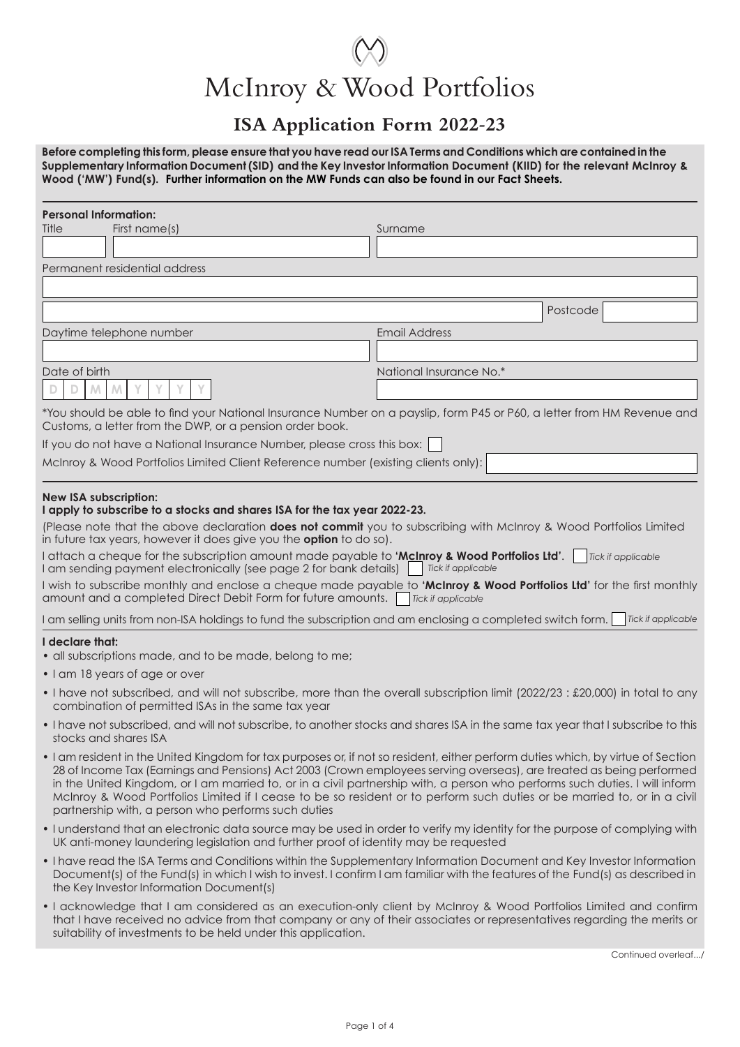# McInroy & Wood Portfolios

## **ISA Application Form 2022-23**

**Before completing this form, please ensure that you have read our ISA Terms and Conditions which are contained in the Supplementary Information Document (SID) and the Key Investor Information Document (KIID) for the relevant McInroy & Wood ('MW') Fund(s). Further information on the MW Funds can also be found in our Fact Sheets.**

| <b>Personal Information:</b> |                                                                                                                                                                                                                                                                                                                                                                                                                                                                                                                                                                                                                                                                                            |                           |                    |  |
|------------------------------|--------------------------------------------------------------------------------------------------------------------------------------------------------------------------------------------------------------------------------------------------------------------------------------------------------------------------------------------------------------------------------------------------------------------------------------------------------------------------------------------------------------------------------------------------------------------------------------------------------------------------------------------------------------------------------------------|---------------------------|--------------------|--|
| Title                        | First name(s)                                                                                                                                                                                                                                                                                                                                                                                                                                                                                                                                                                                                                                                                              | Surname                   |                    |  |
|                              |                                                                                                                                                                                                                                                                                                                                                                                                                                                                                                                                                                                                                                                                                            |                           |                    |  |
|                              | Permanent residential address                                                                                                                                                                                                                                                                                                                                                                                                                                                                                                                                                                                                                                                              |                           |                    |  |
|                              |                                                                                                                                                                                                                                                                                                                                                                                                                                                                                                                                                                                                                                                                                            |                           |                    |  |
|                              |                                                                                                                                                                                                                                                                                                                                                                                                                                                                                                                                                                                                                                                                                            |                           | Postcode           |  |
|                              | Daytime telephone number                                                                                                                                                                                                                                                                                                                                                                                                                                                                                                                                                                                                                                                                   | <b>Email Address</b>      |                    |  |
| Date of birth                |                                                                                                                                                                                                                                                                                                                                                                                                                                                                                                                                                                                                                                                                                            | National Insurance No.*   |                    |  |
| M.                           | Υ<br>M                                                                                                                                                                                                                                                                                                                                                                                                                                                                                                                                                                                                                                                                                     |                           |                    |  |
|                              | *You should be able to find your National Insurance Number on a payslip, form P45 or P60, a letter from HM Revenue and<br>Customs, a letter from the DWP, or a pension order book.                                                                                                                                                                                                                                                                                                                                                                                                                                                                                                         |                           |                    |  |
|                              | If you do not have a National Insurance Number, please cross this box:                                                                                                                                                                                                                                                                                                                                                                                                                                                                                                                                                                                                                     |                           |                    |  |
|                              | McInroy & Wood Portfolios Limited Client Reference number (existing clients only):                                                                                                                                                                                                                                                                                                                                                                                                                                                                                                                                                                                                         |                           |                    |  |
| <b>New ISA subscription:</b> | I apply to subscribe to a stocks and shares ISA for the tax year 2022-23.<br>(Please note that the above declaration does not commit you to subscribing with McInroy & Wood Portfolios Limited<br>in future tax years, however it does give you the <b>option</b> to do so).<br>I attach a cheque for the subscription amount made payable to 'McInroy & Wood Portfolios Ltd'. $\Box$ Tick if applicable<br>I am sending payment electronically (see page 2 for bank details) Tick if applicable<br>I wish to subscribe monthly and enclose a cheque made payable to 'McInroy & Wood Portfolios Ltd' for the first monthly<br>amount and a completed Direct Debit Form for future amounts. | <b>Tick if applicable</b> |                    |  |
|                              | I am selling units from non-ISA holdings to fund the subscription and am enclosing a completed switch form.                                                                                                                                                                                                                                                                                                                                                                                                                                                                                                                                                                                |                           | Tick if applicable |  |
| I declare that:              | • all subscriptions made, and to be made, belong to me;<br>• I am 18 years of age or over<br>. I have not subscribed, and will not subscribe, more than the overall subscription limit (2022/23 : £20,000) in total to any                                                                                                                                                                                                                                                                                                                                                                                                                                                                 |                           |                    |  |
|                              | combination of permitted ISAs in the same tax year                                                                                                                                                                                                                                                                                                                                                                                                                                                                                                                                                                                                                                         |                           |                    |  |
|                              | . I have not subscribed, and will not subscribe, to another stocks and shares ISA in the same tax year that I subscribe to this<br>stocks and shares ISA                                                                                                                                                                                                                                                                                                                                                                                                                                                                                                                                   |                           |                    |  |
|                              | • I am resident in the United Kingdom for tax purposes or, if not so resident, either perform duties which, by virtue of Section<br>28 of Income Tax (Earnings and Pensions) Act 2003 (Crown employees serving overseas), are treated as being performed<br>in the United Kingdom, or I am married to, or in a civil partnership with, a person who performs such duties. I will inform<br>McInroy & Wood Portfolios Limited if I cease to be so resident or to perform such duties or be married to, or in a civil<br>partnership with, a person who performs such duties                                                                                                                 |                           |                    |  |
|                              | • I understand that an electronic data source may be used in order to verify my identity for the purpose of complying with<br>UK anti-money laundering legislation and further proof of identity may be requested                                                                                                                                                                                                                                                                                                                                                                                                                                                                          |                           |                    |  |
|                              | • I have read the ISA Terms and Conditions within the Supplementary Information Document and Key Investor Information<br>Document(s) of the Fund(s) in which I wish to invest. I confirm I am familiar with the features of the Fund(s) as described in<br>the Key Investor Information Document(s)                                                                                                                                                                                                                                                                                                                                                                                        |                           |                    |  |
|                              | . I acknowledge that I am considered as an execution-only client by McInroy & Wood Portfolios Limited and confirm<br>that I have received no advice from that company or any of their associates or representatives regarding the merits or                                                                                                                                                                                                                                                                                                                                                                                                                                                |                           |                    |  |

Continued overleaf.../

suitability of investments to be held under this application.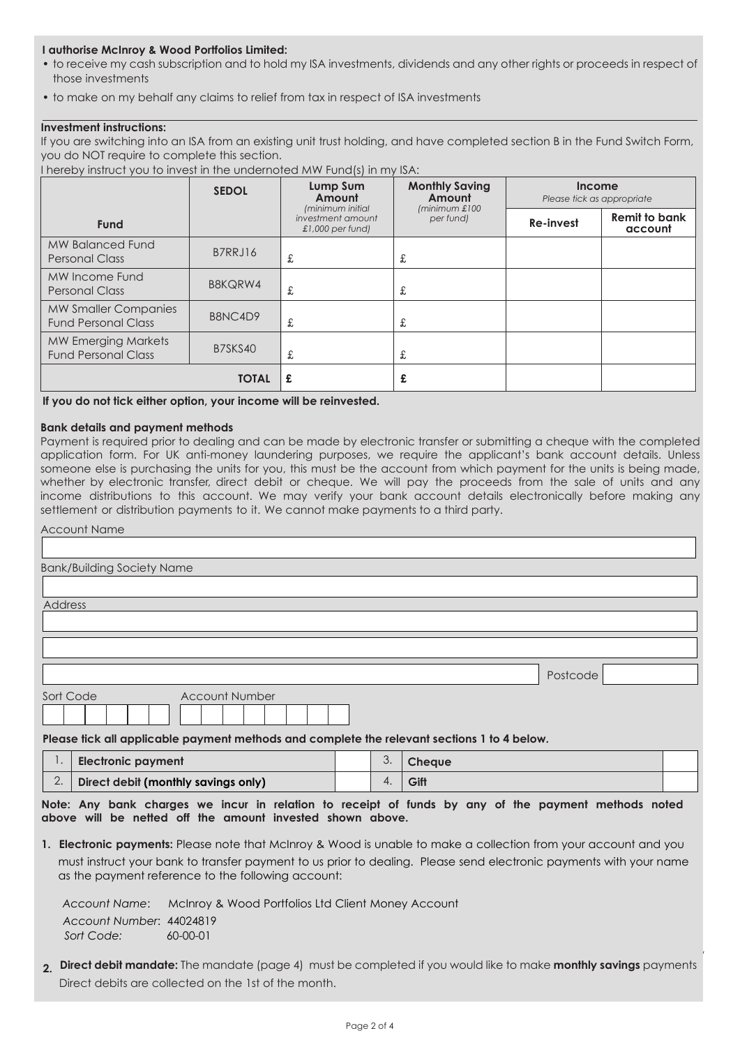#### **I authorise McInroy & Wood Portfolios Limited:**

- to receive my cash subscription and to hold my ISA investments, dividends and any other rights or proceeds in respect of those investments
- to make on my behalf any claims to relief from tax in respect of ISA investments

#### **Investment instructions:**

If you are switching into an ISA from an existing unit trust holding, and have completed section B in the Fund Switch Form, you do NOT require to complete this section.

I hereby instruct you to invest in the undernoted MW Fund(s) in my ISA:

|                                                           | <b>SEDOL</b>   | Lump Sum<br>Amount<br>(minimum initial  | <b>Monthly Saving</b><br>Amount<br>minimum £100 | Income<br>Please tick as appropriate |                                 |  |  |
|-----------------------------------------------------------|----------------|-----------------------------------------|-------------------------------------------------|--------------------------------------|---------------------------------|--|--|
| <b>Fund</b>                                               |                | investment amount<br>$£1,000$ per fund) | per fund)                                       | Re-invest                            | <b>Remit to bank</b><br>account |  |  |
| <b>MW Balanced Fund</b><br><b>Personal Class</b>          | B7RRJ16        | £                                       | £                                               |                                      |                                 |  |  |
| MW Income Fund<br><b>Personal Class</b>                   | <b>B8KQRW4</b> | £                                       | £                                               |                                      |                                 |  |  |
| <b>MW Smaller Companies</b><br><b>Fund Personal Class</b> | B8NC4D9        | £                                       | £                                               |                                      |                                 |  |  |
| <b>MW Emerging Markets</b><br><b>Fund Personal Class</b>  | B7SKS40        | £                                       | £                                               |                                      |                                 |  |  |
|                                                           | <b>TOTAL</b>   | £                                       | £                                               |                                      |                                 |  |  |

**If you do not tick either option, your income will be reinvested.**

#### **Bank details and payment methods**

Payment is required prior to dealing and can be made by electronic transfer or submitting a cheque with the completed application form. For UK anti-money laundering purposes, we require the applicant's bank account details. Unless someone else is purchasing the units for you, this must be the account from which payment for the units is being made, whether by electronic transfer, direct debit or cheque. We will pay the proceeds from the sale of units and any income distributions to this account. We may verify your bank account details electronically before making any settlement or distribution payments to it. We cannot make payments to a third party.

| <b>Account Name</b>                                                                       |          |
|-------------------------------------------------------------------------------------------|----------|
|                                                                                           |          |
| <b>Bank/Building Society Name</b>                                                         |          |
|                                                                                           |          |
| Address                                                                                   |          |
|                                                                                           |          |
|                                                                                           |          |
|                                                                                           | Postcode |
| Sort Code<br><b>Account Number</b>                                                        |          |
| Place tick all applicable payment methods and complete the relevant sections 1 to 4 below |          |

**Please tick all applicable payment methods and complete the relevant sections 1 to 4 below.** 

| Electronic payment                  | J. | <b>Cheave</b> |  |
|-------------------------------------|----|---------------|--|
| Direct debit (monthly savings only) |    | Giff          |  |

**Note: Any bank charges we incur in relation to receipt of funds by any of the payment methods noted above will be netted off the amount invested shown above.**

**1. Electronic payments:** Please note that McInroy & Wood is unable to make a collection from your account and you must instruct your bank to transfer payment to us prior to dealing. Please send electronic payments with your name as the payment reference to the following account:

*Account Name*: McInroy & Wood Portfolios Ltd Client Money Account *Account Number*: 44024819 *Sort Code:* 60-00-01

**2. Direct debit mandate:** The mandate (page 4) must be completed if you would like to make **monthly savings** payments Direct debits are collected on the 1st of the month.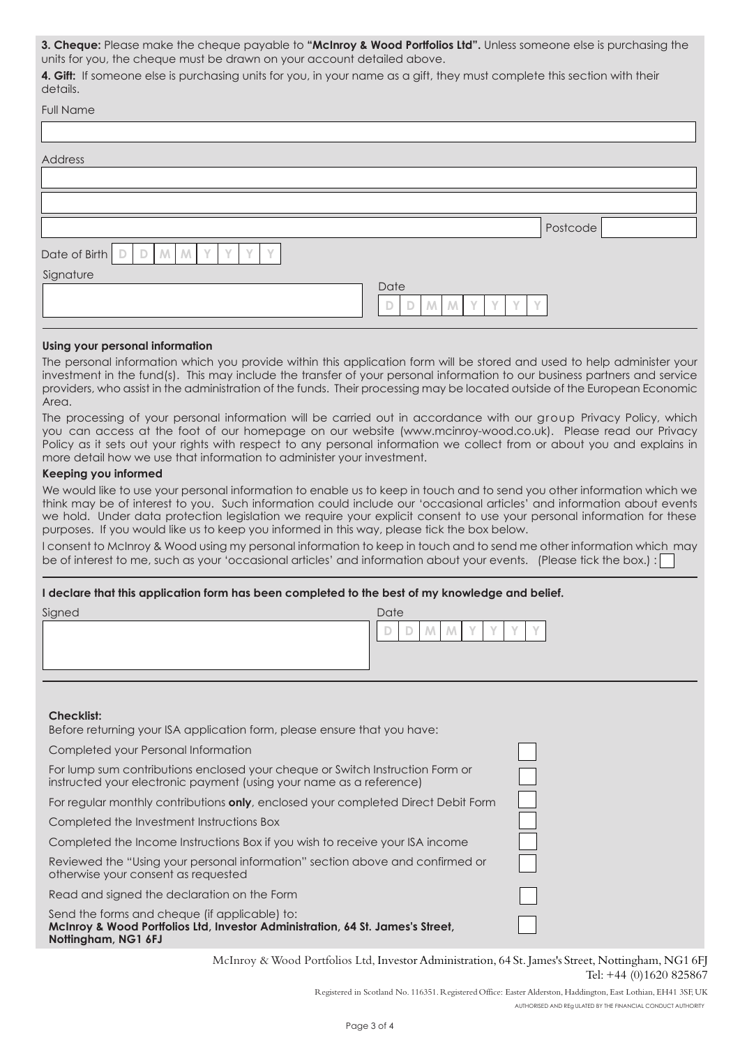**3. Cheque:** Please make the cheque payable to **"McInroy & Wood Portfolios Ltd".** Unless someone else is purchasing the units for you, the cheque must be drawn on your account detailed above.

**4. Gift:** If someone else is purchasing units for you, in your name as a gift, they must complete this section with their details.

| <b>FUILINAILLE</b>                                     |                                                                            |          |
|--------------------------------------------------------|----------------------------------------------------------------------------|----------|
|                                                        |                                                                            |          |
| Address                                                |                                                                            |          |
|                                                        |                                                                            |          |
|                                                        |                                                                            |          |
|                                                        |                                                                            | Postcode |
| Date of Birth<br>Y<br>$D$ $M$ $M$<br>$\mathbb{D}$<br>Y |                                                                            |          |
| Signature                                              |                                                                            |          |
|                                                        | Date<br>M<br>$\sqrt{}$<br>$\mathcal{N}$<br>$\mathbb D$<br>D<br>M<br>V<br>V |          |
|                                                        |                                                                            |          |

#### **Using your personal information**

Full Name

The personal information which you provide within this application form will be stored and used to help administer your investment in the fund(s). This may include the transfer of your personal information to our business partners and service providers, who assist in the administration of the funds. Their processing may be located outside of the European Economic Area.

The processing of your personal information will be carried out in accordance with our group Privacy Policy, which you can access at the foot of our homepage on our website (www.mcinroy-wood.co.uk). Please read our Privacy Policy as it sets out your rights with respect to any personal information we collect from or about you and explains in more detail how we use that information to administer your investment.

#### Keeping you informed

We would like to use your personal information to enable us to keep in touch and to send you other information which we think may be of interest to you. Such information could include our 'occasional articles' and information about events we hold. Under data protection legislation we require your explicit consent to use your personal information for these purposes. If you would like us to keep you informed in this way, please tick the box below.

I consent to McInroy & Wood using my personal information to keep in touch and to send me other information which may be of interest to me, such as your 'occasional articles' and information about your events. (Please tick the box.):

#### **I declare that this application form has been completed to the best of my knowledge and belief.**

| Signed | Date   |  |        |     |  |            |  |               |
|--------|--------|--|--------|-----|--|------------|--|---------------|
|        | $\sim$ |  | $\sim$ | IV. |  | $\sqrt{ }$ |  | $\mathcal{M}$ |
|        |        |  |        |     |  |            |  |               |
|        |        |  |        |     |  |            |  |               |

#### **Checklist:**

Before returning your ISA application form, please ensure that you have:

Completed your Personal Information

For lump sum contributions enclosed your cheque or Switch Instruction Form or instructed your electronic payment (using your name as a reference)

For regular monthly contributions **only**, enclosed your completed Direct Debit Form

Completed the Investment Instructions Box

Completed the Income Instructions Box if you wish to receive your ISA income

Reviewed the "Using your personal information" section above and confirmed or otherwise your consent as requested

Read and signed the declaration on the Form

Send the forms and cheque (if applicable) to: **McInroy & Wood Portfolios Ltd, Investor Administration, 64 St. James's Street, Nottingham, NG1 6FJ**

> McInroy & Wood Portfolios Ltd, Investor Administration, 64 St. James's Street, Nottingham, NG1 6FJ Tel: +44 (0)1620 825867

> > Registered in Scotland No. 116351. Registered Office: Easter Alderston, Haddington, East Lothian, EH41 3SF, UK Authorised and reg ulated by the Financial Conduct Authority